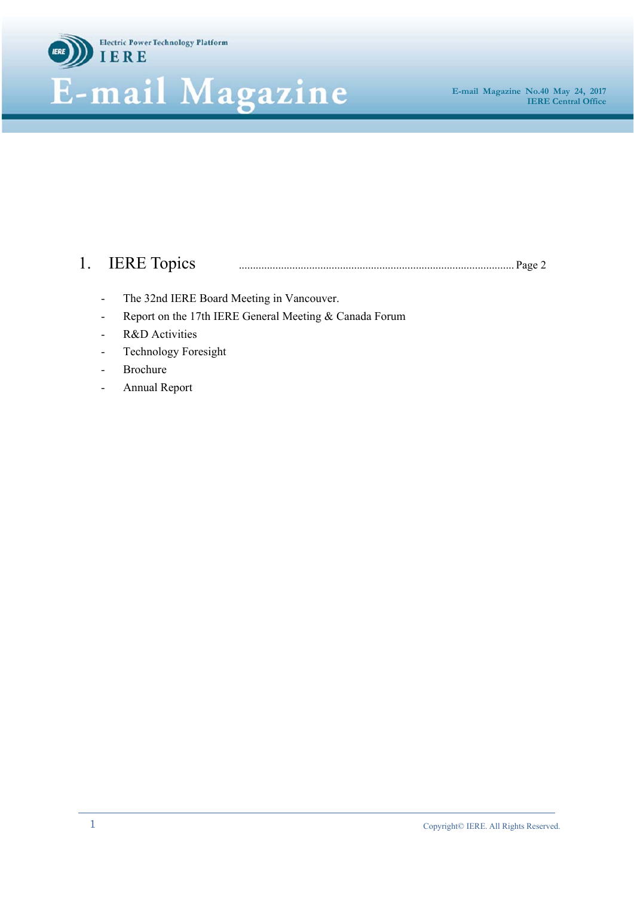

# 1. IERE Topics .................................................................................................. Page 2

- The 32nd IERE Board Meeting in Vancouver.
- Report on the 17th IERE General Meeting & Canada Forum
- R&D Activities
- Technology Foresight
- **Brochure**
- Annual Report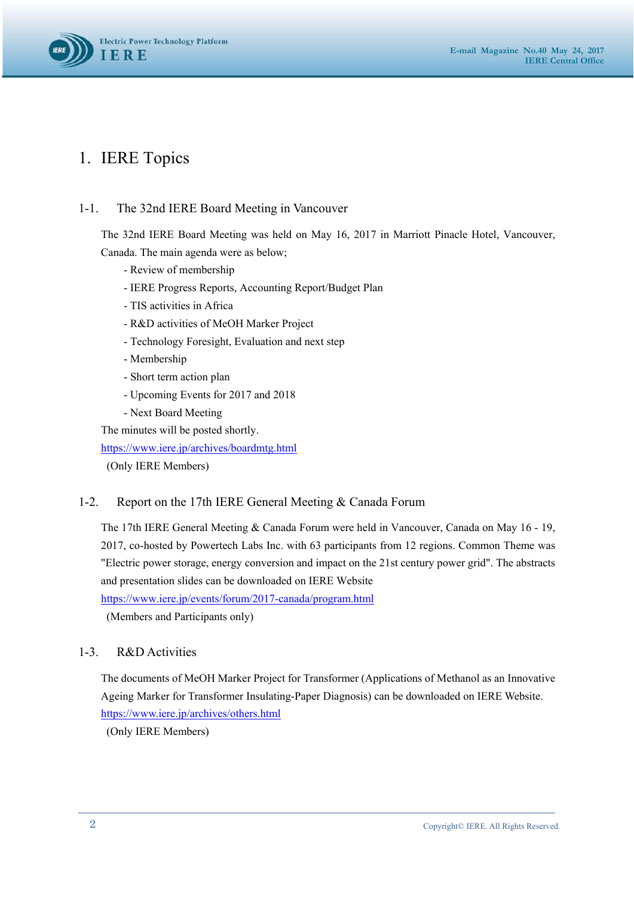

## 1. IERE Topics

## 1-1. The 32nd IERE Board Meeting in Vancouver

The 32nd IERE Board Meeting was held on May 16, 2017 in Marriott Pinacle Hotel, Vancouver, Canada. The main agenda were as below;

- Review of membership
- IERE Progress Reports, Accounting Report/Budget Plan
- TIS activities in Africa
- R&D activities of MeOH Marker Project
- Technology Foresight, Evaluation and next step
- Membership
- Short term action plan
- Upcoming Events for 2017 and 2018
- Next Board Meeting

The minutes will be posted shortly.

https://www.iere.jp/archives/boardmtg.html

(Only IERE Members)

#### 1-2. Report on the 17th IERE General Meeting & Canada Forum

The 17th IERE General Meeting & Canada Forum were held in Vancouver, Canada on May 16 - 19, 2017, co-hosted by Powertech Labs Inc. with 63 participants from 12 regions. Common Theme was "Electric power storage, energy conversion and impact on the 21st century power grid". The abstracts and presentation slides can be downloaded on IERE Website https://www.iere.jp/events/forum/2017-canada/program.html

(Members and Participants only)

#### 1-3. R&D Activities

The documents of MeOH Marker Project for Transformer (Applications of Methanol as an Innovative Ageing Marker for Transformer Insulating-Paper Diagnosis) can be downloaded on IERE Website. https://www.iere.jp/archives/others.html

(Only IERE Members)